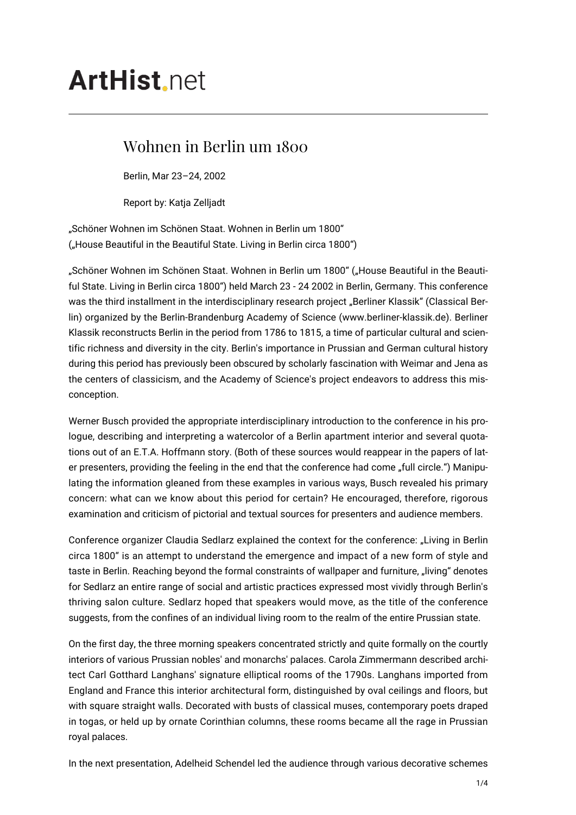## **ArtHist** net

## Wohnen in Berlin um 1800

Berlin, Mar 23–24, 2002

Report by: Katja Zelljadt

"Schöner Wohnen im Schönen Staat. Wohnen in Berlin um 1800" ("House Beautiful in the Beautiful State. Living in Berlin circa 1800")

"Schöner Wohnen im Schönen Staat. Wohnen in Berlin um 1800" ("House Beautiful in the Beautiful State. Living in Berlin circa 1800") held March 23 - 24 2002 in Berlin, Germany. This conference was the third installment in the interdisciplinary research project "Berliner Klassik" (Classical Berlin) organized by the Berlin-Brandenburg Academy of Science (www.berliner-klassik.de). Berliner Klassik reconstructs Berlin in the period from 1786 to 1815, a time of particular cultural and scientific richness and diversity in the city. Berlin's importance in Prussian and German cultural history during this period has previously been obscured by scholarly fascination with Weimar and Jena as the centers of classicism, and the Academy of Science's project endeavors to address this misconception.

Werner Busch provided the appropriate interdisciplinary introduction to the conference in his prologue, describing and interpreting a watercolor of a Berlin apartment interior and several quotations out of an E.T.A. Hoffmann story. (Both of these sources would reappear in the papers of later presenters, providing the feeling in the end that the conference had come "full circle.") Manipulating the information gleaned from these examples in various ways, Busch revealed his primary concern: what can we know about this period for certain? He encouraged, therefore, rigorous examination and criticism of pictorial and textual sources for presenters and audience members.

Conference organizer Claudia Sedlarz explained the context for the conference: "Living in Berlin circa 1800" is an attempt to understand the emergence and impact of a new form of style and taste in Berlin. Reaching beyond the formal constraints of wallpaper and furniture, "living" denotes for Sedlarz an entire range of social and artistic practices expressed most vividly through Berlin's thriving salon culture. Sedlarz hoped that speakers would move, as the title of the conference suggests, from the confines of an individual living room to the realm of the entire Prussian state.

On the first day, the three morning speakers concentrated strictly and quite formally on the courtly interiors of various Prussian nobles' and monarchs' palaces. Carola Zimmermann described architect Carl Gotthard Langhans' signature elliptical rooms of the 1790s. Langhans imported from England and France this interior architectural form, distinguished by oval ceilings and floors, but with square straight walls. Decorated with busts of classical muses, contemporary poets draped in togas, or held up by ornate Corinthian columns, these rooms became all the rage in Prussian royal palaces.

In the next presentation, Adelheid Schendel led the audience through various decorative schemes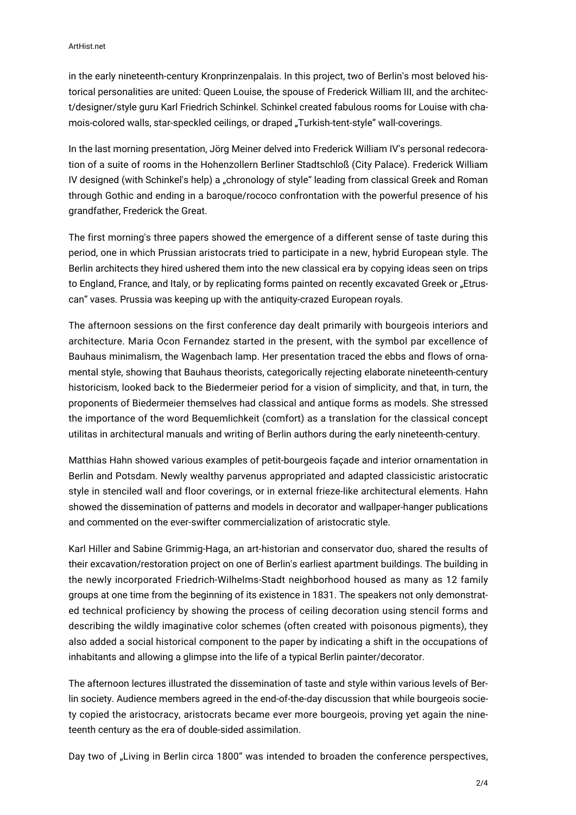in the early nineteenth-century Kronprinzenpalais. In this project, two of Berlin's most beloved historical personalities are united: Queen Louise, the spouse of Frederick William III, and the architect/designer/style guru Karl Friedrich Schinkel. Schinkel created fabulous rooms for Louise with chamois-colored walls, star-speckled ceilings, or draped "Turkish-tent-style" wall-coverings.

In the last morning presentation, Jörg Meiner delved into Frederick William IV's personal redecoration of a suite of rooms in the Hohenzollern Berliner Stadtschloß (City Palace). Frederick William IV designed (with Schinkel's help) a "chronology of style" leading from classical Greek and Roman through Gothic and ending in a baroque/rococo confrontation with the powerful presence of his grandfather, Frederick the Great.

The first morning's three papers showed the emergence of a different sense of taste during this period, one in which Prussian aristocrats tried to participate in a new, hybrid European style. The Berlin architects they hired ushered them into the new classical era by copying ideas seen on trips to England, France, and Italy, or by replicating forms painted on recently excavated Greek or "Etruscan" vases. Prussia was keeping up with the antiquity-crazed European royals.

The afternoon sessions on the first conference day dealt primarily with bourgeois interiors and architecture. Maria Ocon Fernandez started in the present, with the symbol par excellence of Bauhaus minimalism, the Wagenbach lamp. Her presentation traced the ebbs and flows of ornamental style, showing that Bauhaus theorists, categorically rejecting elaborate nineteenth-century historicism, looked back to the Biedermeier period for a vision of simplicity, and that, in turn, the proponents of Biedermeier themselves had classical and antique forms as models. She stressed the importance of the word Bequemlichkeit (comfort) as a translation for the classical concept utilitas in architectural manuals and writing of Berlin authors during the early nineteenth-century.

Matthias Hahn showed various examples of petit-bourgeois façade and interior ornamentation in Berlin and Potsdam. Newly wealthy parvenus appropriated and adapted classicistic aristocratic style in stenciled wall and floor coverings, or in external frieze-like architectural elements. Hahn showed the dissemination of patterns and models in decorator and wallpaper-hanger publications and commented on the ever-swifter commercialization of aristocratic style.

Karl Hiller and Sabine Grimmig-Haga, an art-historian and conservator duo, shared the results of their excavation/restoration project on one of Berlin's earliest apartment buildings. The building in the newly incorporated Friedrich-Wilhelms-Stadt neighborhood housed as many as 12 family groups at one time from the beginning of its existence in 1831. The speakers not only demonstrated technical proficiency by showing the process of ceiling decoration using stencil forms and describing the wildly imaginative color schemes (often created with poisonous pigments), they also added a social historical component to the paper by indicating a shift in the occupations of inhabitants and allowing a glimpse into the life of a typical Berlin painter/decorator.

The afternoon lectures illustrated the dissemination of taste and style within various levels of Berlin society. Audience members agreed in the end-of-the-day discussion that while bourgeois society copied the aristocracy, aristocrats became ever more bourgeois, proving yet again the nineteenth century as the era of double-sided assimilation.

Day two of "Living in Berlin circa 1800" was intended to broaden the conference perspectives,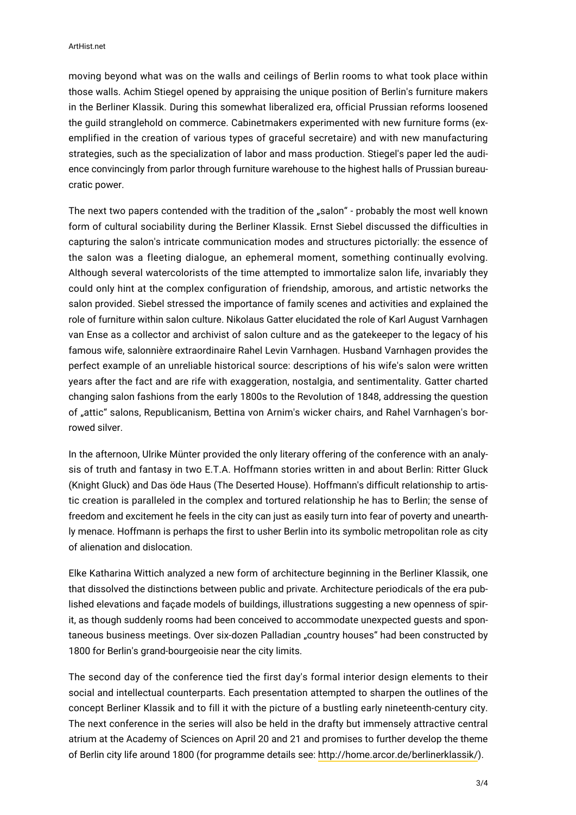moving beyond what was on the walls and ceilings of Berlin rooms to what took place within those walls. Achim Stiegel opened by appraising the unique position of Berlin's furniture makers in the Berliner Klassik. During this somewhat liberalized era, official Prussian reforms loosened the guild stranglehold on commerce. Cabinetmakers experimented with new furniture forms (exemplified in the creation of various types of graceful secretaire) and with new manufacturing strategies, such as the specialization of labor and mass production. Stiegel's paper led the audience convincingly from parlor through furniture warehouse to the highest halls of Prussian bureaucratic power.

The next two papers contended with the tradition of the "salon" - probably the most well known form of cultural sociability during the Berliner Klassik. Ernst Siebel discussed the difficulties in capturing the salon's intricate communication modes and structures pictorially: the essence of the salon was a fleeting dialogue, an ephemeral moment, something continually evolving. Although several watercolorists of the time attempted to immortalize salon life, invariably they could only hint at the complex configuration of friendship, amorous, and artistic networks the salon provided. Siebel stressed the importance of family scenes and activities and explained the role of furniture within salon culture. Nikolaus Gatter elucidated the role of Karl August Varnhagen van Ense as a collector and archivist of salon culture and as the gatekeeper to the legacy of his famous wife, salonnière extraordinaire Rahel Levin Varnhagen. Husband Varnhagen provides the perfect example of an unreliable historical source: descriptions of his wife's salon were written years after the fact and are rife with exaggeration, nostalgia, and sentimentality. Gatter charted changing salon fashions from the early 1800s to the Revolution of 1848, addressing the question of "attic" salons, Republicanism, Bettina von Arnim's wicker chairs, and Rahel Varnhagen's borrowed silver.

In the afternoon, Ulrike Münter provided the only literary offering of the conference with an analysis of truth and fantasy in two E.T.A. Hoffmann stories written in and about Berlin: Ritter Gluck (Knight Gluck) and Das öde Haus (The Deserted House). Hoffmann's difficult relationship to artistic creation is paralleled in the complex and tortured relationship he has to Berlin; the sense of freedom and excitement he feels in the city can just as easily turn into fear of poverty and unearthly menace. Hoffmann is perhaps the first to usher Berlin into its symbolic metropolitan role as city of alienation and dislocation.

Elke Katharina Wittich analyzed a new form of architecture beginning in the Berliner Klassik, one that dissolved the distinctions between public and private. Architecture periodicals of the era published elevations and façade models of buildings, illustrations suggesting a new openness of spirit, as though suddenly rooms had been conceived to accommodate unexpected guests and spontaneous business meetings. Over six-dozen Palladian "country houses" had been constructed by 1800 for Berlin's grand-bourgeoisie near the city limits.

The second day of the conference tied the first day's formal interior design elements to their social and intellectual counterparts. Each presentation attempted to sharpen the outlines of the concept Berliner Klassik and to fill it with the picture of a bustling early nineteenth-century city. The next conference in the series will also be held in the drafty but immensely attractive central atrium at the Academy of Sciences on April 20 and 21 and promises to further develop the theme of Berlin city life around 1800 (for programme details see: <http://home.arcor.de/berlinerklassik/>).